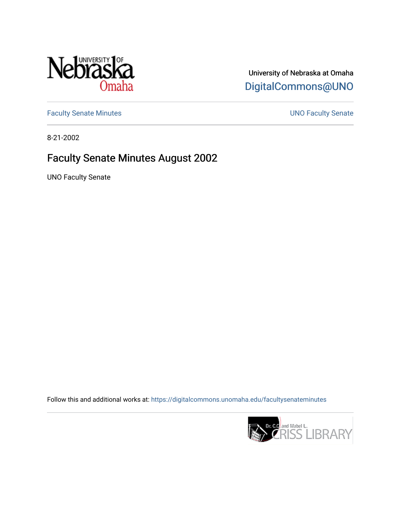

University of Nebraska at Omaha [DigitalCommons@UNO](https://digitalcommons.unomaha.edu/) 

[Faculty Senate Minutes](https://digitalcommons.unomaha.edu/facultysenateminutes) **Exercise Senate UNO Faculty Senate** 

8-21-2002

# Faculty Senate Minutes August 2002

UNO Faculty Senate

Follow this and additional works at: [https://digitalcommons.unomaha.edu/facultysenateminutes](https://digitalcommons.unomaha.edu/facultysenateminutes?utm_source=digitalcommons.unomaha.edu%2Ffacultysenateminutes%2F100&utm_medium=PDF&utm_campaign=PDFCoverPages) 

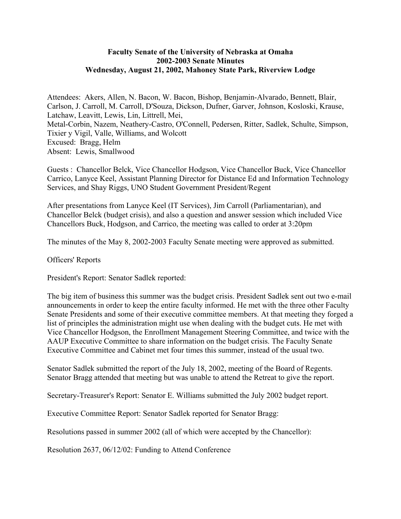# **Faculty Senate of the University of Nebraska at Omaha 2002-2003 Senate Minutes Wednesday, August 21, 2002, Mahoney State Park, Riverview Lodge**

Attendees: Akers, Allen, N. Bacon, W. Bacon, Bishop, Benjamin-Alvarado, Bennett, Blair, Carlson, J. Carroll, M. Carroll, D'Souza, Dickson, Dufner, Garver, Johnson, Kosloski, Krause, Latchaw, Leavitt, Lewis, Lin, Littrell, Mei, Metal-Corbin, Nazem, Neathery-Castro, O'Connell, Pedersen, Ritter, Sadlek, Schulte, Simpson, Tixier y Vigil, Valle, Williams, and Wolcott Excused: Bragg, Helm Absent: Lewis, Smallwood

Guests : Chancellor Belck, Vice Chancellor Hodgson, Vice Chancellor Buck, Vice Chancellor Carrico, Lanyce Keel, Assistant Planning Director for Distance Ed and Information Technology Services, and Shay Riggs, UNO Student Government President/Regent

After presentations from Lanyce Keel (IT Services), Jim Carroll (Parliamentarian), and Chancellor Belck (budget crisis), and also a question and answer session which included Vice Chancellors Buck, Hodgson, and Carrico, the meeting was called to order at 3:20pm

The minutes of the May 8, 2002-2003 Faculty Senate meeting were approved as submitted.

Officers' Reports

President's Report: Senator Sadlek reported:

The big item of business this summer was the budget crisis. President Sadlek sent out two e-mail announcements in order to keep the entire faculty informed. He met with the three other Faculty Senate Presidents and some of their executive committee members. At that meeting they forged a list of principles the administration might use when dealing with the budget cuts. He met with Vice Chancellor Hodgson, the Enrollment Management Steering Committee, and twice with the AAUP Executive Committee to share information on the budget crisis. The Faculty Senate Executive Committee and Cabinet met four times this summer, instead of the usual two.

Senator Sadlek submitted the report of the July 18, 2002, meeting of the Board of Regents. Senator Bragg attended that meeting but was unable to attend the Retreat to give the report.

Secretary-Treasurer's Report: Senator E. Williams submitted the July 2002 budget report.

Executive Committee Report: Senator Sadlek reported for Senator Bragg:

Resolutions passed in summer 2002 (all of which were accepted by the Chancellor):

Resolution 2637, 06/12/02: Funding to Attend Conference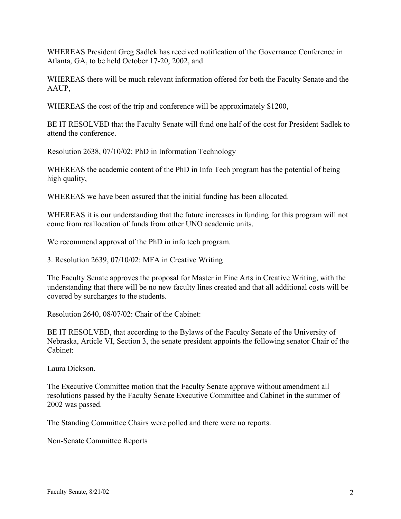WHEREAS President Greg Sadlek has received notification of the Governance Conference in Atlanta, GA, to be held October 17-20, 2002, and

WHEREAS there will be much relevant information offered for both the Faculty Senate and the AAUP,

WHEREAS the cost of the trip and conference will be approximately \$1200,

BE IT RESOLVED that the Faculty Senate will fund one half of the cost for President Sadlek to attend the conference.

Resolution 2638, 07/10/02: PhD in Information Technology

WHEREAS the academic content of the PhD in Info Tech program has the potential of being high quality,

WHEREAS we have been assured that the initial funding has been allocated.

WHEREAS it is our understanding that the future increases in funding for this program will not come from reallocation of funds from other UNO academic units.

We recommend approval of the PhD in info tech program.

3. Resolution 2639, 07/10/02: MFA in Creative Writing

The Faculty Senate approves the proposal for Master in Fine Arts in Creative Writing, with the understanding that there will be no new faculty lines created and that all additional costs will be covered by surcharges to the students.

Resolution 2640, 08/07/02: Chair of the Cabinet:

BE IT RESOLVED, that according to the Bylaws of the Faculty Senate of the University of Nebraska, Article VI, Section 3, the senate president appoints the following senator Chair of the Cabinet:

Laura Dickson.

The Executive Committee motion that the Faculty Senate approve without amendment all resolutions passed by the Faculty Senate Executive Committee and Cabinet in the summer of 2002 was passed.

The Standing Committee Chairs were polled and there were no reports.

Non-Senate Committee Reports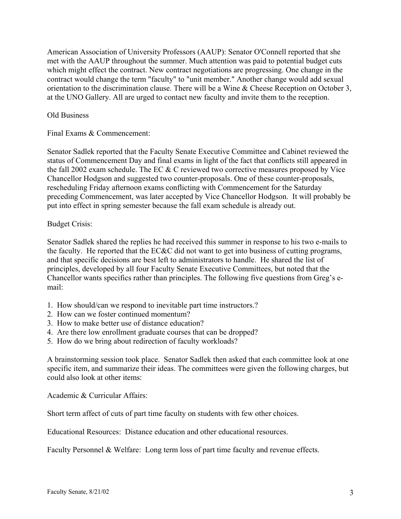American Association of University Professors (AAUP): Senator O'Connell reported that she met with the AAUP throughout the summer. Much attention was paid to potential budget cuts which might effect the contract. New contract negotiations are progressing. One change in the contract would change the term "faculty" to "unit member." Another change would add sexual orientation to the discrimination clause. There will be a Wine & Cheese Reception on October 3, at the UNO Gallery. All are urged to contact new faculty and invite them to the reception.

## Old Business

Final Exams & Commencement:

Senator Sadlek reported that the Faculty Senate Executive Committee and Cabinet reviewed the status of Commencement Day and final exams in light of the fact that conflicts still appeared in the fall 2002 exam schedule. The EC & C reviewed two corrective measures proposed by Vice Chancellor Hodgson and suggested two counter-proposals. One of these counter-proposals, rescheduling Friday afternoon exams conflicting with Commencement for the Saturday preceding Commencement, was later accepted by Vice Chancellor Hodgson. It will probably be put into effect in spring semester because the fall exam schedule is already out.

## Budget Crisis:

Senator Sadlek shared the replies he had received this summer in response to his two e-mails to the faculty. He reported that the EC&C did not want to get into business of cutting programs, and that specific decisions are best left to administrators to handle. He shared the list of principles, developed by all four Faculty Senate Executive Committees, but noted that the Chancellor wants specifics rather than principles. The following five questions from Greg's email:

- 1. How should/can we respond to inevitable part time instructors.?
- 2. How can we foster continued momentum?
- 3. How to make better use of distance education?
- 4. Are there low enrollment graduate courses that can be dropped?
- 5. How do we bring about redirection of faculty workloads?

A brainstorming session took place. Senator Sadlek then asked that each committee look at one specific item, and summarize their ideas. The committees were given the following charges, but could also look at other items:

Academic & Curricular Affairs:

Short term affect of cuts of part time faculty on students with few other choices.

Educational Resources: Distance education and other educational resources.

Faculty Personnel & Welfare: Long term loss of part time faculty and revenue effects.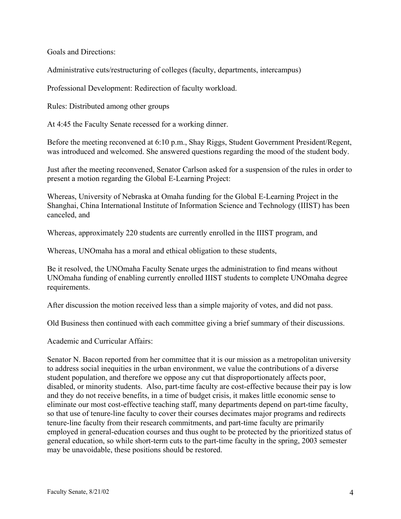Goals and Directions:

Administrative cuts/restructuring of colleges (faculty, departments, intercampus)

Professional Development: Redirection of faculty workload.

Rules: Distributed among other groups

At 4:45 the Faculty Senate recessed for a working dinner.

Before the meeting reconvened at 6:10 p.m., Shay Riggs, Student Government President/Regent, was introduced and welcomed. She answered questions regarding the mood of the student body.

Just after the meeting reconvened, Senator Carlson asked for a suspension of the rules in order to present a motion regarding the Global E-Learning Project:

Whereas, University of Nebraska at Omaha funding for the Global E-Learning Project in the Shanghai, China International Institute of Information Science and Technology (IIIST) has been canceled, and

Whereas, approximately 220 students are currently enrolled in the IIIST program, and

Whereas, UNOmaha has a moral and ethical obligation to these students,

Be it resolved, the UNOmaha Faculty Senate urges the administration to find means without UNOmaha funding of enabling currently enrolled IIIST students to complete UNOmaha degree requirements.

After discussion the motion received less than a simple majority of votes, and did not pass.

Old Business then continued with each committee giving a brief summary of their discussions.

Academic and Curricular Affairs:

Senator N. Bacon reported from her committee that it is our mission as a metropolitan university to address social inequities in the urban environment, we value the contributions of a diverse student population, and therefore we oppose any cut that disproportionately affects poor, disabled, or minority students. Also, part-time faculty are cost-effective because their pay is low and they do not receive benefits, in a time of budget crisis, it makes little economic sense to eliminate our most cost-effective teaching staff, many departments depend on part-time faculty, so that use of tenure-line faculty to cover their courses decimates major programs and redirects tenure-line faculty from their research commitments, and part-time faculty are primarily employed in general-education courses and thus ought to be protected by the prioritized status of general education, so while short-term cuts to the part-time faculty in the spring, 2003 semester may be unavoidable, these positions should be restored.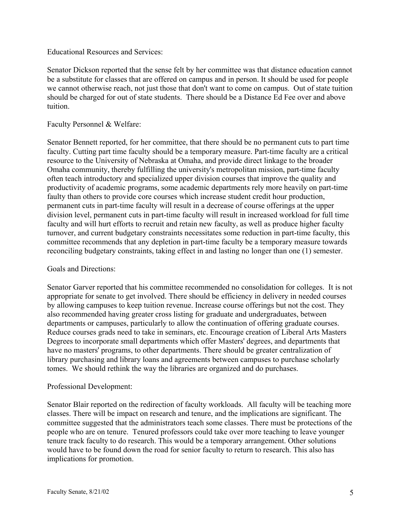## Educational Resources and Services:

Senator Dickson reported that the sense felt by her committee was that distance education cannot be a substitute for classes that are offered on campus and in person. It should be used for people we cannot otherwise reach, not just those that don't want to come on campus. Out of state tuition should be charged for out of state students. There should be a Distance Ed Fee over and above tuition.

#### Faculty Personnel & Welfare:

Senator Bennett reported, for her committee, that there should be no permanent cuts to part time faculty. Cutting part time faculty should be a temporary measure. Part-time faculty are a critical resource to the University of Nebraska at Omaha, and provide direct linkage to the broader Omaha community, thereby fulfilling the university's metropolitan mission, part-time faculty often teach introductory and specialized upper division courses that improve the quality and productivity of academic programs, some academic departments rely more heavily on part-time faulty than others to provide core courses which increase student credit hour production, permanent cuts in part-time faculty will result in a decrease of course offerings at the upper division level, permanent cuts in part-time faculty will result in increased workload for full time faculty and will hurt efforts to recruit and retain new faculty, as well as produce higher faculty turnover, and current budgetary constraints necessitates some reduction in part-time faculty, this committee recommends that any depletion in part-time faculty be a temporary measure towards reconciling budgetary constraints, taking effect in and lasting no longer than one (1) semester.

## Goals and Directions:

Senator Garver reported that his committee recommended no consolidation for colleges. It is not appropriate for senate to get involved. There should be efficiency in delivery in needed courses by allowing campuses to keep tuition revenue. Increase course offerings but not the cost. They also recommended having greater cross listing for graduate and undergraduates, between departments or campuses, particularly to allow the continuation of offering graduate courses. Reduce courses grads need to take in seminars, etc. Encourage creation of Liberal Arts Masters Degrees to incorporate small departments which offer Masters' degrees, and departments that have no masters' programs, to other departments. There should be greater centralization of library purchasing and library loans and agreements between campuses to purchase scholarly tomes. We should rethink the way the libraries are organized and do purchases.

## Professional Development:

Senator Blair reported on the redirection of faculty workloads. All faculty will be teaching more classes. There will be impact on research and tenure, and the implications are significant. The committee suggested that the administrators teach some classes. There must be protections of the people who are on tenure. Tenured professors could take over more teaching to leave younger tenure track faculty to do research. This would be a temporary arrangement. Other solutions would have to be found down the road for senior faculty to return to research. This also has implications for promotion.